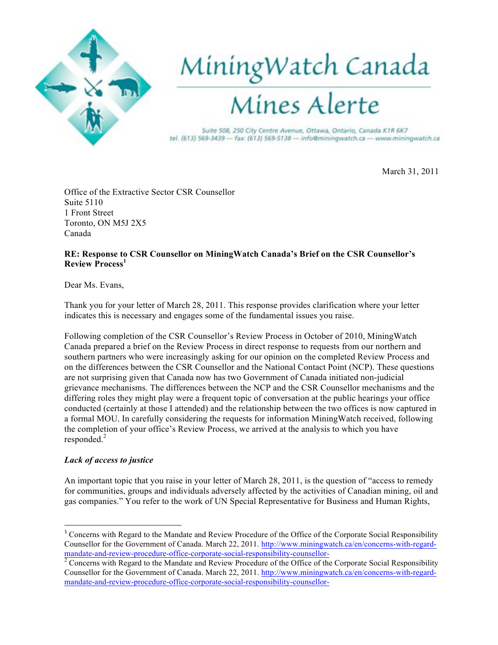

## MiningWatch Canada<br>Mines Alerte

Suite 508, 250 City Centre Avenue, Ottawa, Ontario, Canada K1R 6K7 tel. (613) 569-3439 - fax: (613) 569-5138 - info@miningwatch.ca - www.miningwatch.ca

March 31, 2011

Office of the Extractive Sector CSR Counsellor Suite 5110 1 Front Street Toronto, ON M5J 2X5 Canada

## **RE: Response to CSR Counsellor on MiningWatch Canada's Brief on the CSR Counsellor's Review Process<sup>1</sup>**

Dear Ms. Evans,

Thank you for your letter of March 28, 2011. This response provides clarification where your letter indicates this is necessary and engages some of the fundamental issues you raise.

Following completion of the CSR Counsellor's Review Process in October of 2010, MiningWatch Canada prepared a brief on the Review Process in direct response to requests from our northern and southern partners who were increasingly asking for our opinion on the completed Review Process and on the differences between the CSR Counsellor and the National Contact Point (NCP). These questions are not surprising given that Canada now has two Government of Canada initiated non-judicial grievance mechanisms. The differences between the NCP and the CSR Counsellor mechanisms and the differing roles they might play were a frequent topic of conversation at the public hearings your office conducted (certainly at those I attended) and the relationship between the two offices is now captured in a formal MOU. In carefully considering the requests for information MiningWatch received, following the completion of your office's Review Process, we arrived at the analysis to which you have responded.<sup>2</sup>

## *Lack of access to justice*

!!!!!!!!!!!!!!!!!!!!!!!!!!!!!!!!!!!!!!!!!!!!!!!!!!!!!!!!!!!!

An important topic that you raise in your letter of March 28, 2011, is the question of "access to remedy for communities, groups and individuals adversely affected by the activities of Canadian mining, oil and gas companies." You refer to the work of UN Special Representative for Business and Human Rights,

<sup>&</sup>lt;sup>1</sup> Concerns with Regard to the Mandate and Review Procedure of the Office of the Corporate Social Responsibility Counsellor for the Government of Canada. March 22, 2011. http://www.miningwatch.ca/en/concerns-with-regardmandate-and-review-procedure-office-corporate-social-responsibility-counsellor-<br><sup>2</sup> Concerns with Regard to the Mandate and Review Procedure of the Office of the Corporate Social Responsibility

Counsellor for the Government of Canada. March 22, 2011. http://www.miningwatch.ca/en/concerns-with-regardmandate-and-review-procedure-office-corporate-social-responsibility-counsellor-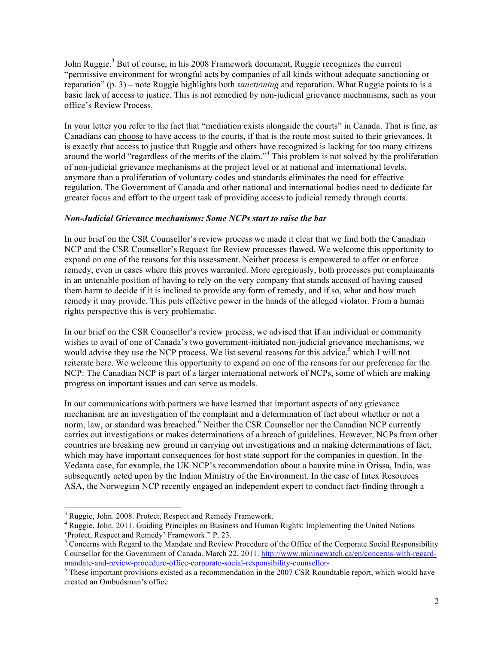John Ruggie.<sup>3</sup> But of course, in his 2008 Framework document, Ruggie recognizes the current "permissive environment for wrongful acts by companies of all kinds without adequate sanctioning or reparation" (p. 3) – note Ruggie highlights both *sanctioning* and reparation. What Ruggie points to is a basic lack of access to justice. This is not remedied by non-judicial grievance mechanisms, such as your office's Review Process.

In your letter you refer to the fact that "mediation exists alongside the courts" in Canada. That is fine, as Canadians can choose to have access to the courts, if that is the route most suited to their grievances. It is exactly that access to justice that Ruggie and others have recognized is lacking for too many citizens around the world "regardless of the merits of the claim."<sup>4</sup> This problem is not solved by the proliferation of non-judicial grievance mechanisms at the project level or at national and international levels, anymore than a proliferation of voluntary codes and standards eliminates the need for effective regulation. The Government of Canada and other national and international bodies need to dedicate far greater focus and effort to the urgent task of providing access to judicial remedy through courts.

## *Non-Judicial Grievance mechanisms: Some NCPs start to raise the bar*

In our brief on the CSR Counsellor's review process we made it clear that we find both the Canadian NCP and the CSR Counsellor's Request for Review processes flawed. We welcome this opportunity to expand on one of the reasons for this assessment. Neither process is empowered to offer or enforce remedy, even in cases where this proves warranted. More egregiously, both processes put complainants in an untenable position of having to rely on the very company that stands accused of having caused them harm to decide if it is inclined to provide any form of remedy, and if so, what and how much remedy it may provide. This puts effective power in the hands of the alleged violator. From a human rights perspective this is very problematic.

In our brief on the CSR Counsellor's review process, we advised that **if** an individual or community wishes to avail of one of Canada's two government-initiated non-judicial grievance mechanisms, we would advise they use the NCP process. We list several reasons for this advice,<sup>5</sup> which I will not reiterate here. We welcome this opportunity to expand on one of the reasons for our preference for the NCP: The Canadian NCP is part of a larger international network of NCPs, some of which are making progress on important issues and can serve as models.

In our communications with partners we have learned that important aspects of any grievance mechanism are an investigation of the complaint and a determination of fact about whether or not a norm, law, or standard was breached.<sup>6</sup> Neither the CSR Counsellor nor the Canadian NCP currently carries out investigations or makes determinations of a breach of guidelines. However, NCPs from other countries are breaking new ground in carrying out investigations and in making determinations of fact, which may have important consequences for host state support for the companies in question. In the Vedanta case, for example, the UK NCP's recommendation about a bauxite mine in Orissa, India, was subsequently acted upon by the Indian Ministry of the Environment. In the case of Intex Resources ASA, the Norwegian NCP recently engaged an independent expert to conduct fact-finding through a

!!!!!!!!!!!!!!!!!!!!!!!!!!!!!!!!!!!!!!!!!!!!!!!!!!!!!!!!!!!!

<sup>&</sup>lt;sup>3</sup> Ruggie, John. 2008. Protect, Respect and Remedy Framework.

<sup>4</sup> Ruggie, John. 2011. Guiding Principles on Business and Human Rights: Implementing the United Nations 'Protect, Respect and Remedy' Framework." P. 23.

<sup>&</sup>lt;sup>5</sup> Concerns with Regard to the Mandate and Review Procedure of the Office of the Corporate Social Responsibility Counsellor for the Government of Canada. March 22, 2011. http://www.miningwatch.ca/en/concerns-with-regardmandate-and-review-procedure-office-corporate-social-responsibility-counsellor-<br><sup>6</sup> These important provisions existed as a recommendation in the 2007 CSR Roundtable report, which would have

created an Ombudsman's office.